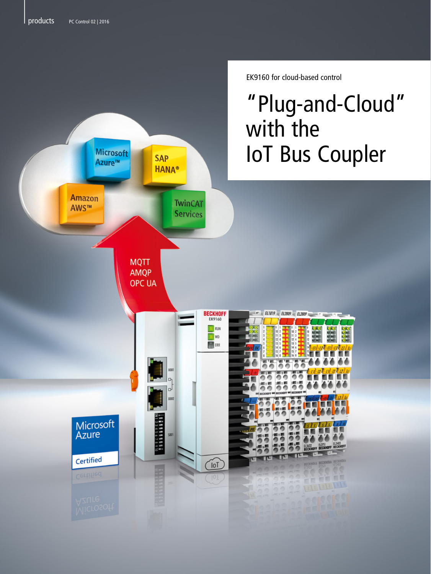